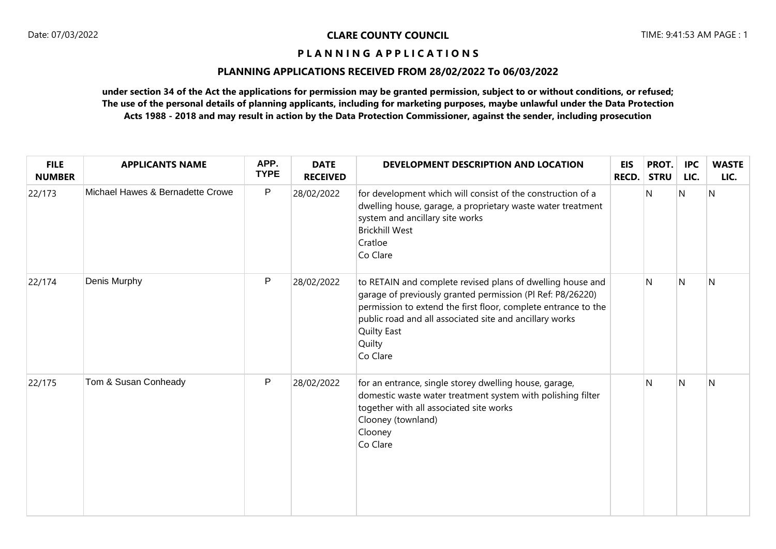# **PLANNING APPLICATIONS RECEIVED FROM 28/02/2022 To 06/03/2022**

| <b>FILE</b><br><b>NUMBER</b> | <b>APPLICANTS NAME</b>           | APP.<br><b>TYPE</b> | <b>DATE</b><br><b>RECEIVED</b> | DEVELOPMENT DESCRIPTION AND LOCATION                                                                                                                                                                                                                                                       | <b>EIS</b><br><b>RECD.</b> | PROT.<br><b>STRU</b> | <b>IPC</b><br>LIC. | <b>WASTE</b><br>LIC. |
|------------------------------|----------------------------------|---------------------|--------------------------------|--------------------------------------------------------------------------------------------------------------------------------------------------------------------------------------------------------------------------------------------------------------------------------------------|----------------------------|----------------------|--------------------|----------------------|
| 22/173                       | Michael Hawes & Bernadette Crowe | P                   | 28/02/2022                     | for development which will consist of the construction of a<br>dwelling house, garage, a proprietary waste water treatment<br>system and ancillary site works<br><b>Brickhill West</b><br>Cratloe<br>Co Clare                                                                              |                            | N                    | $\overline{N}$     | $\overline{N}$       |
| 22/174                       | Denis Murphy                     | P                   | 28/02/2022                     | to RETAIN and complete revised plans of dwelling house and<br>garage of previously granted permission (PI Ref: P8/26220)<br>permission to extend the first floor, complete entrance to the<br>public road and all associated site and ancillary works<br>Quilty East<br>Quilty<br>Co Clare |                            | N                    | N                  | N                    |
| 22/175                       | Tom & Susan Conheady             | P                   | 28/02/2022                     | for an entrance, single storey dwelling house, garage,<br>domestic waste water treatment system with polishing filter<br>together with all associated site works<br>Clooney (townland)<br>Clooney<br>Co Clare                                                                              |                            | N                    | N                  | N                    |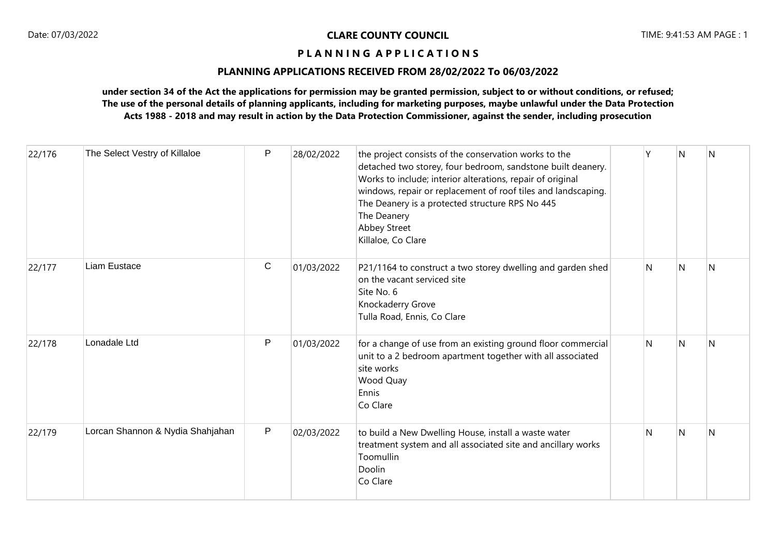# **PLANNING APPLICATIONS RECEIVED FROM 28/02/2022 To 06/03/2022**

| 22/176 | The Select Vestry of Killaloe    | P | 28/02/2022 | the project consists of the conservation works to the<br>detached two storey, four bedroom, sandstone built deanery.<br>Works to include; interior alterations, repair of original<br>windows, repair or replacement of roof tiles and landscaping.<br>The Deanery is a protected structure RPS No 445<br>The Deanery<br>Abbey Street<br>Killaloe, Co Clare | ٧ | N | N |
|--------|----------------------------------|---|------------|-------------------------------------------------------------------------------------------------------------------------------------------------------------------------------------------------------------------------------------------------------------------------------------------------------------------------------------------------------------|---|---|---|
| 22/177 | Liam Eustace                     | C | 01/03/2022 | P21/1164 to construct a two storey dwelling and garden shed<br>on the vacant serviced site<br>Site No. 6<br>Knockaderry Grove<br>Tulla Road, Ennis, Co Clare                                                                                                                                                                                                | N | N | N |
| 22/178 | Lonadale Ltd                     | P | 01/03/2022 | for a change of use from an existing ground floor commercial<br>unit to a 2 bedroom apartment together with all associated<br>site works<br>Wood Quay<br>Ennis<br>Co Clare                                                                                                                                                                                  | N | N | N |
| 22/179 | Lorcan Shannon & Nydia Shahjahan | P | 02/03/2022 | to build a New Dwelling House, install a waste water<br>treatment system and all associated site and ancillary works<br>Toomullin<br>Doolin<br>Co Clare                                                                                                                                                                                                     | N | N | N |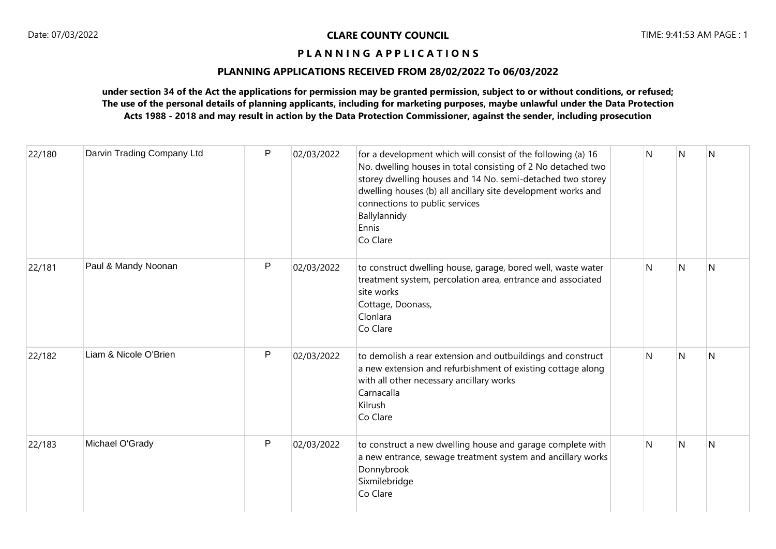# **PLANNING APPLICATIONS RECEIVED FROM 28/02/2022 To 06/03/2022**

| 22/180 | Darvin Trading Company Ltd | P | 02/03/2022 | for a development which will consist of the following (a) 16<br>No. dwelling houses in total consisting of 2 No detached two<br>storey dwelling houses and 14 No. semi-detached two storey<br>dwelling houses (b) all ancillary site development works and<br>connections to public services<br>Ballylannidy<br>Ennis<br>Co Clare | N | N         | N |
|--------|----------------------------|---|------------|-----------------------------------------------------------------------------------------------------------------------------------------------------------------------------------------------------------------------------------------------------------------------------------------------------------------------------------|---|-----------|---|
| 22/181 | Paul & Mandy Noonan        | P | 02/03/2022 | to construct dwelling house, garage, bored well, waste water<br>treatment system, percolation area, entrance and associated<br>site works<br>Cottage, Doonass,<br>Clonlara<br>Co Clare                                                                                                                                            | N | N         | N |
| 22/182 | Liam & Nicole O'Brien      | P | 02/03/2022 | to demolish a rear extension and outbuildings and construct<br>a new extension and refurbishment of existing cottage along<br>with all other necessary ancillary works<br>Carnacalla<br>Kilrush<br>Co Clare                                                                                                                       | N | N         | N |
| 22/183 | Michael O'Grady            | P | 02/03/2022 | to construct a new dwelling house and garage complete with<br>a new entrance, sewage treatment system and ancillary works<br>Donnybrook<br>Sixmilebridge<br>Co Clare                                                                                                                                                              | N | ${\sf N}$ | N |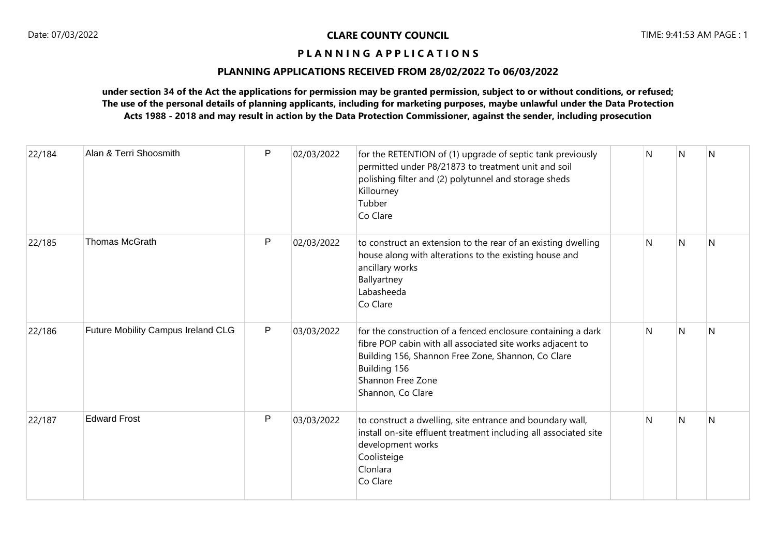# **PLANNING APPLICATIONS RECEIVED FROM 28/02/2022 To 06/03/2022**

| 22/184 | Alan & Terri Shoosmith             | $\mathsf{P}$ | 02/03/2022 | for the RETENTION of (1) upgrade of septic tank previously<br>permitted under P8/21873 to treatment unit and soil<br>polishing filter and (2) polytunnel and storage sheds<br>Killourney<br>Tubber<br>Co Clare                             | N | l N | <b>N</b> |
|--------|------------------------------------|--------------|------------|--------------------------------------------------------------------------------------------------------------------------------------------------------------------------------------------------------------------------------------------|---|-----|----------|
| 22/185 | <b>Thomas McGrath</b>              | P            | 02/03/2022 | to construct an extension to the rear of an existing dwelling<br>house along with alterations to the existing house and<br>ancillary works<br>Ballyartney<br>Labasheeda<br>Co Clare                                                        | N | N   | N        |
| 22/186 | Future Mobility Campus Ireland CLG | P            | 03/03/2022 | for the construction of a fenced enclosure containing a dark<br>fibre POP cabin with all associated site works adjacent to<br>Building 156, Shannon Free Zone, Shannon, Co Clare<br>Building 156<br>Shannon Free Zone<br>Shannon, Co Clare | N | N   | N        |
| 22/187 | <b>Edward Frost</b>                | $\mathsf{P}$ | 03/03/2022 | to construct a dwelling, site entrance and boundary wall,<br>install on-site effluent treatment including all associated site<br>development works<br>Coolisteige<br>Clonlara<br>Co Clare                                                  | N | N   | N        |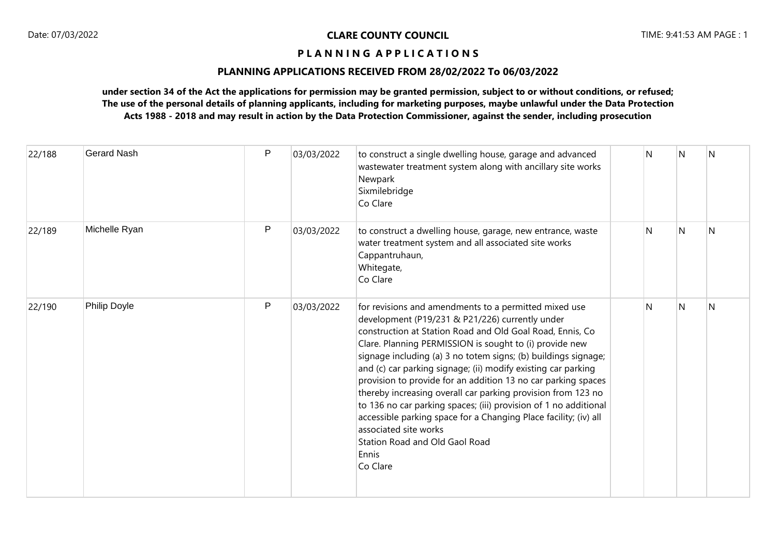# **PLANNING APPLICATIONS RECEIVED FROM 28/02/2022 To 06/03/2022**

| 22/188 | <b>Gerard Nash</b> | $\mathsf{P}$ | 03/03/2022 | to construct a single dwelling house, garage and advanced<br>wastewater treatment system along with ancillary site works<br>Newpark<br>Sixmilebridge<br>Co Clare                                                                                                                                                                                                                                                                                                                                                                                                                                                                                                                                                              | N | N | N |
|--------|--------------------|--------------|------------|-------------------------------------------------------------------------------------------------------------------------------------------------------------------------------------------------------------------------------------------------------------------------------------------------------------------------------------------------------------------------------------------------------------------------------------------------------------------------------------------------------------------------------------------------------------------------------------------------------------------------------------------------------------------------------------------------------------------------------|---|---|---|
| 22/189 | Michelle Ryan      | P            | 03/03/2022 | to construct a dwelling house, garage, new entrance, waste<br>water treatment system and all associated site works<br>Cappantruhaun,<br>Whitegate,<br>Co Clare                                                                                                                                                                                                                                                                                                                                                                                                                                                                                                                                                                | N | N | N |
| 22/190 | Philip Doyle       | P            | 03/03/2022 | for revisions and amendments to a permitted mixed use<br>development (P19/231 & P21/226) currently under<br>construction at Station Road and Old Goal Road, Ennis, Co.<br>Clare. Planning PERMISSION is sought to (i) provide new<br>signage including (a) 3 no totem signs; (b) buildings signage;<br>and (c) car parking signage; (ii) modify existing car parking<br>provision to provide for an addition 13 no car parking spaces<br>thereby increasing overall car parking provision from 123 no<br>to 136 no car parking spaces; (iii) provision of 1 no additional<br>accessible parking space for a Changing Place facility; (iv) all<br>associated site works<br>Station Road and Old Gaol Road<br>Ennis<br>Co Clare | N | N | N |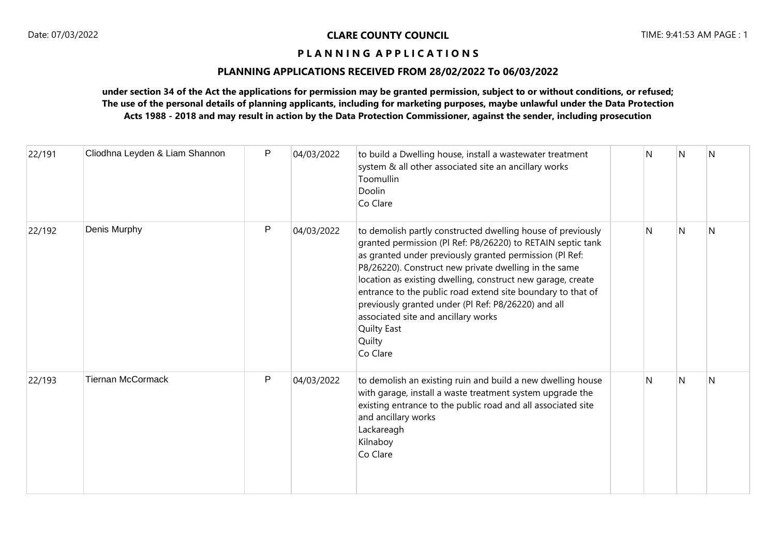# **PLANNING APPLICATIONS RECEIVED FROM 28/02/2022 To 06/03/2022**

| 22/191 | Cliodhna Leyden & Liam Shannon | $\mathsf{P}$ | 04/03/2022 | to build a Dwelling house, install a wastewater treatment<br>system & all other associated site an ancillary works<br>Toomullin<br>Doolin<br>Co Clare                                                                                                                                                                                                                                                                                                                                                                  | N | N | N |
|--------|--------------------------------|--------------|------------|------------------------------------------------------------------------------------------------------------------------------------------------------------------------------------------------------------------------------------------------------------------------------------------------------------------------------------------------------------------------------------------------------------------------------------------------------------------------------------------------------------------------|---|---|---|
| 22/192 | Denis Murphy                   | P            | 04/03/2022 | to demolish partly constructed dwelling house of previously<br>granted permission (PI Ref: P8/26220) to RETAIN septic tank<br>as granted under previously granted permission (PI Ref:<br>P8/26220). Construct new private dwelling in the same<br>location as existing dwelling, construct new garage, create<br>entrance to the public road extend site boundary to that of<br>previously granted under (PI Ref: P8/26220) and all<br>associated site and ancillary works<br><b>Quilty East</b><br>Quilty<br>Co Clare | N | N | N |
| 22/193 | <b>Tiernan McCormack</b>       | P            | 04/03/2022 | to demolish an existing ruin and build a new dwelling house<br>with garage, install a waste treatment system upgrade the<br>existing entrance to the public road and all associated site<br>and ancillary works<br>Lackareagh<br>Kilnaboy<br>Co Clare                                                                                                                                                                                                                                                                  | N | N | N |